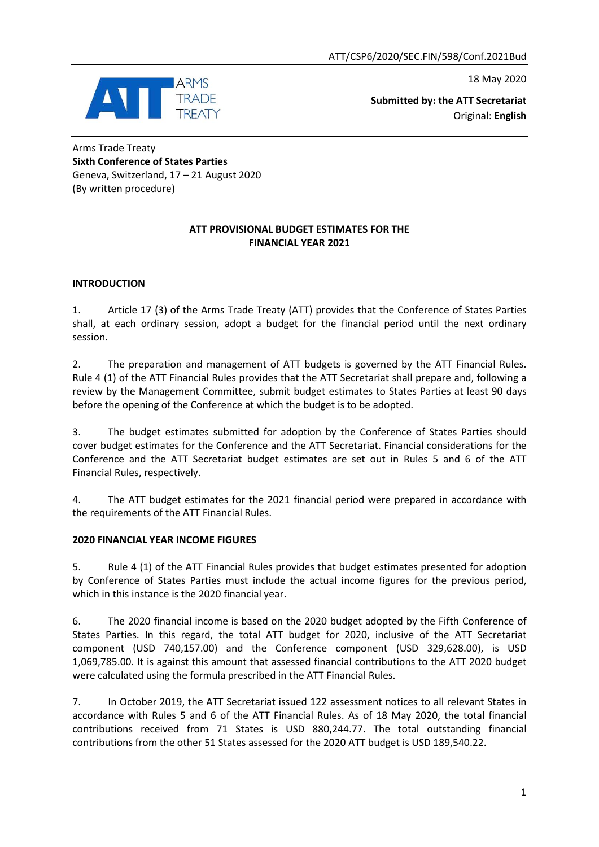18 May 2020



**Submitted by: the ATT Secretariat** Original: **English**

Arms Trade Treaty **Sixth Conference of States Parties** Geneva, Switzerland, 17 – 21 August 2020 (By written procedure)

#### **ATT PROVISIONAL BUDGET ESTIMATES FOR THE FINANCIAL YEAR 2021**

### **INTRODUCTION**

1. Article 17 (3) of the Arms Trade Treaty (ATT) provides that the Conference of States Parties shall, at each ordinary session, adopt a budget for the financial period until the next ordinary session.

2. The preparation and management of ATT budgets is governed by the ATT Financial Rules. Rule 4 (1) of the ATT Financial Rules provides that the ATT Secretariat shall prepare and, following a review by the Management Committee, submit budget estimates to States Parties at least 90 days before the opening of the Conference at which the budget is to be adopted.

3. The budget estimates submitted for adoption by the Conference of States Parties should cover budget estimates for the Conference and the ATT Secretariat. Financial considerations for the Conference and the ATT Secretariat budget estimates are set out in Rules 5 and 6 of the ATT Financial Rules, respectively.

4. The ATT budget estimates for the 2021 financial period were prepared in accordance with the requirements of the ATT Financial Rules.

#### **2020 FINANCIAL YEAR INCOME FIGURES**

5. Rule 4 (1) of the ATT Financial Rules provides that budget estimates presented for adoption by Conference of States Parties must include the actual income figures for the previous period, which in this instance is the 2020 financial year.

6. The 2020 financial income is based on the 2020 budget adopted by the Fifth Conference of States Parties. In this regard, the total ATT budget for 2020, inclusive of the ATT Secretariat component (USD 740,157.00) and the Conference component (USD 329,628.00), is USD 1,069,785.00. It is against this amount that assessed financial contributions to the ATT 2020 budget were calculated using the formula prescribed in the ATT Financial Rules.

7. In October 2019, the ATT Secretariat issued 122 assessment notices to all relevant States in accordance with Rules 5 and 6 of the ATT Financial Rules. As of 18 May 2020, the total financial contributions received from 71 States is USD 880,244.77. The total outstanding financial contributions from the other 51 States assessed for the 2020 ATT budget is USD 189,540.22.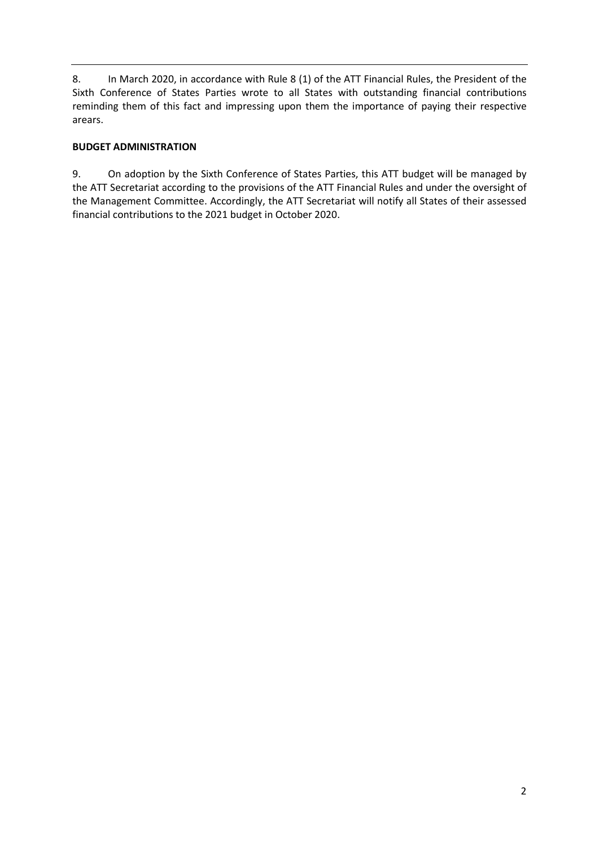8. In March 2020, in accordance with Rule 8 (1) of the ATT Financial Rules, the President of the Sixth Conference of States Parties wrote to all States with outstanding financial contributions reminding them of this fact and impressing upon them the importance of paying their respective arears.

### **BUDGET ADMINISTRATION**

9. On adoption by the Sixth Conference of States Parties, this ATT budget will be managed by the ATT Secretariat according to the provisions of the ATT Financial Rules and under the oversight of the Management Committee. Accordingly, the ATT Secretariat will notify all States of their assessed financial contributions to the 2021 budget in October 2020.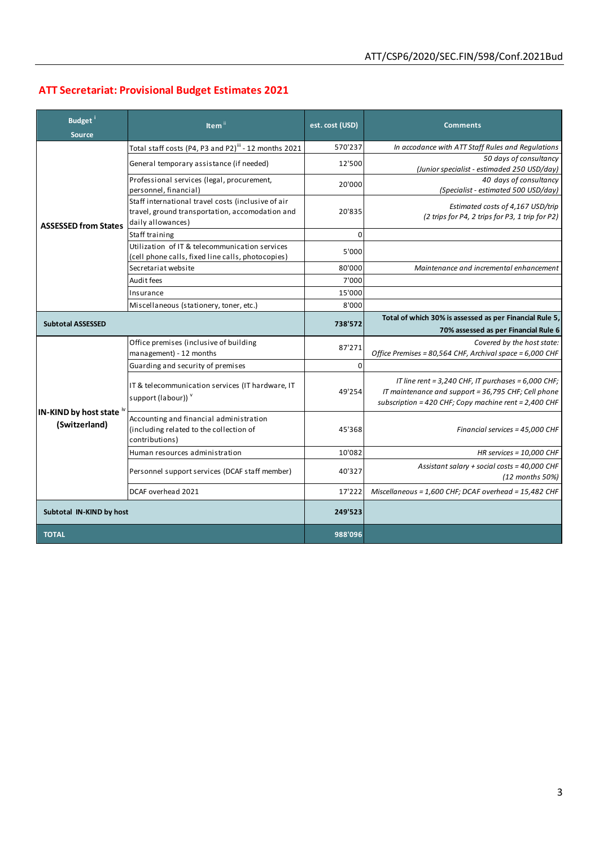## **ATT Secretariat: Provisional Budget Estimates 2021**

| Budget <sup>i</sup><br><b>Source</b>                                   | Item <sup>i</sup>                                                                                                          | est. cost (USD) | <b>Comments</b>                                                                                                                                                         |
|------------------------------------------------------------------------|----------------------------------------------------------------------------------------------------------------------------|-----------------|-------------------------------------------------------------------------------------------------------------------------------------------------------------------------|
| <b>ASSESSED from States</b>                                            | Total staff costs (P4, P3 and P2) <sup>iii</sup> - 12 months 2021                                                          | 570'237         | In accodance with ATT Staff Rules and Regulations                                                                                                                       |
|                                                                        | General temporary assistance (if needed)                                                                                   | 12'500          | 50 days of consultancy<br>(Junior specialist - estimaded 250 USD/day)                                                                                                   |
|                                                                        | Professional services (legal, procurement,<br>personnel, financial)                                                        | 20'000          | 40 days of consultancy<br>(Specialist - estimated 500 USD/day)                                                                                                          |
|                                                                        | Staff international travel costs (inclusive of air<br>travel, ground transportation, accomodation and<br>daily allowances) | 20'835          | Estimated costs of 4,167 USD/trip<br>(2 trips for P4, 2 trips for P3, 1 trip for P2)                                                                                    |
|                                                                        | Staff training                                                                                                             | $\Omega$        |                                                                                                                                                                         |
|                                                                        | Utilization of IT & telecommunication services<br>(cell phone calls, fixed line calls, photocopies)                        | 5'000           |                                                                                                                                                                         |
|                                                                        | Secretariat website                                                                                                        | 80'000          | Maintenance and incremental enhancement                                                                                                                                 |
|                                                                        | Audit fees                                                                                                                 | 7'000           |                                                                                                                                                                         |
|                                                                        | Insurance                                                                                                                  | 15'000          |                                                                                                                                                                         |
|                                                                        | Miscellaneous (stationery, toner, etc.)                                                                                    | 8'000           |                                                                                                                                                                         |
| <b>Subtotal ASSESSED</b>                                               |                                                                                                                            | 738'572         | Total of which 30% is assessed as per Financial Rule 5,<br>70% assessed as per Financial Rule 6                                                                         |
| <b>IN-KIND by host state <math>\sqrt[n]{ }</math></b><br>(Switzerland) | Office premises (inclusive of building                                                                                     | 87'271          | Covered by the host state:                                                                                                                                              |
|                                                                        | management) - 12 months                                                                                                    |                 | Office Premises = 80,564 CHF, Archival space = 6,000 CHF                                                                                                                |
|                                                                        | Guarding and security of premises                                                                                          | $\mathbf 0$     |                                                                                                                                                                         |
|                                                                        | IT & telecommunication services (IT hardware, IT<br>support (labour)) v                                                    | 49'254          | IT line rent = $3,240$ CHF, IT purchases = $6,000$ CHF;<br>IT maintenance and support = 36,795 CHF; Cell phone<br>subscription = 420 CHF; Copy machine rent = 2,400 CHF |
|                                                                        | Accounting and financial administration<br>(including related to the collection of<br>contributions)                       | 45'368          | Financial services = 45,000 CHF                                                                                                                                         |
|                                                                        | Human resources administration                                                                                             | 10'082          | HR services = $10,000$ CHF                                                                                                                                              |
|                                                                        | Personnel support services (DCAF staff member)                                                                             | 40'327          | Assistant salary + social costs = 40,000 CHF<br>$(12$ months 50%)                                                                                                       |
|                                                                        | DCAF overhead 2021                                                                                                         | 17'222          | Miscellaneous = 1,600 CHF; DCAF overhead = 15,482 CHF                                                                                                                   |
| Subtotal IN-KIND by host                                               |                                                                                                                            | 249'523         |                                                                                                                                                                         |
| <b>TOTAL</b>                                                           |                                                                                                                            | 988'096         |                                                                                                                                                                         |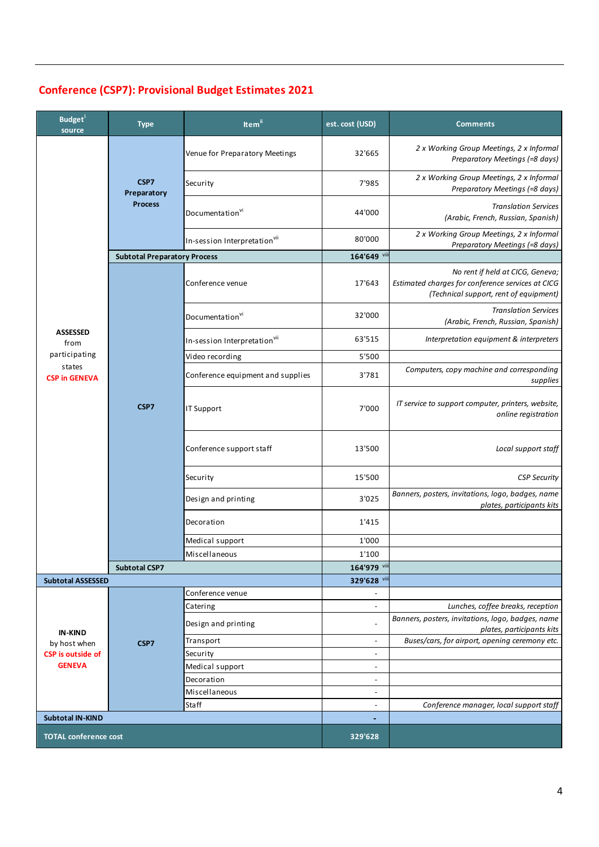| <b>Budget</b><br>source                                                     | <b>Type</b>                           | Item <sup>ii</sup>                       | est. cost (USD)                                      | <b>Comments</b>                                                                                                                 |
|-----------------------------------------------------------------------------|---------------------------------------|------------------------------------------|------------------------------------------------------|---------------------------------------------------------------------------------------------------------------------------------|
| <b>ASSESSED</b><br>from<br>participating<br>states<br><b>CSP in GENEVA</b>  | CSP7<br>Preparatory<br><b>Process</b> | Venue for Preparatory Meetings           | 32'665                                               | 2 x Working Group Meetings, 2 x Informal<br>Preparatory Meetings (=8 days)                                                      |
|                                                                             |                                       | Security                                 | 7'985                                                | 2 x Working Group Meetings, 2 x Informal<br>Preparatory Meetings (=8 days)                                                      |
|                                                                             |                                       | Documentation <sup>vi</sup>              | 44'000                                               | <b>Translation Services</b><br>(Arabic, French, Russian, Spanish)                                                               |
|                                                                             |                                       | In-session Interpretationvil             | 80'000                                               | 2 x Working Group Meetings, 2 x Informal<br>Preparatory Meetings (=8 days)                                                      |
|                                                                             | <b>Subtotal Preparatory Process</b>   |                                          | 164'649 viii                                         |                                                                                                                                 |
|                                                                             | CSP7                                  | Conference venue                         | 17'643                                               | No rent if held at CICG, Geneva;<br>Estimated charges for conference services at CICG<br>(Technical support, rent of equipment) |
|                                                                             |                                       | Documentation <sup>vi</sup>              | 32'000                                               | <b>Translation Services</b><br>(Arabic, French, Russian, Spanish)                                                               |
|                                                                             |                                       | In-session Interpretation <sup>vii</sup> | 63'515                                               | Interpretation equipment & interpreters                                                                                         |
|                                                                             |                                       | Video recording                          | 5'500                                                |                                                                                                                                 |
|                                                                             |                                       | Conference equipment and supplies        | 3'781                                                | Computers, copy machine and corresponding<br>supplies                                                                           |
|                                                                             |                                       | IT Support                               | 7'000                                                | IT service to support computer, printers, website,<br>online registration                                                       |
|                                                                             |                                       | Conference support staff                 | 13'500                                               | Local support staff                                                                                                             |
|                                                                             |                                       | Security                                 | 15'500                                               | <b>CSP Security</b>                                                                                                             |
|                                                                             |                                       | Design and printing                      | 3'025                                                | Banners, posters, invitations, logo, badges, name<br>plates, participants kits                                                  |
|                                                                             |                                       | Decoration                               | 1'415                                                |                                                                                                                                 |
|                                                                             |                                       | Medical support                          | 1'000                                                |                                                                                                                                 |
|                                                                             |                                       | Miscellaneous                            | 1'100                                                |                                                                                                                                 |
|                                                                             | <b>Subtotal CSP7</b>                  |                                          | 164'979 viii                                         |                                                                                                                                 |
| <b>Subtotal ASSESSED</b>                                                    |                                       |                                          | 329'628 vi                                           |                                                                                                                                 |
|                                                                             | CSP7                                  | Conference venue                         |                                                      |                                                                                                                                 |
| <b>IN-KIND</b><br>by host when<br><b>CSP</b> is outside of<br><b>GENEVA</b> |                                       | Catering<br>Design and printing          | $\overline{\phantom{a}}$<br>$\overline{\phantom{a}}$ | Lunches, coffee breaks, reception<br>Banners, posters, invitations, logo, badges, name                                          |
|                                                                             |                                       | Transport                                | $\overline{\phantom{a}}$                             | plates, participants kits<br>Buses/cars, for airport, opening ceremony etc.                                                     |
|                                                                             |                                       | Security                                 | $\overline{a}$                                       |                                                                                                                                 |
|                                                                             |                                       | Medical support                          | $\overline{\phantom{a}}$                             |                                                                                                                                 |
|                                                                             |                                       | Decoration                               | $\overline{\phantom{a}}$                             |                                                                                                                                 |
|                                                                             |                                       | Miscellaneous                            | $\overline{a}$                                       |                                                                                                                                 |
|                                                                             |                                       | Staff                                    | $\overline{a}$                                       | Conference manager, local support staff                                                                                         |
| <b>Subtotal IN-KIND</b>                                                     |                                       |                                          | $\overline{\phantom{0}}$                             |                                                                                                                                 |
| <b>TOTAL conference cost</b>                                                |                                       |                                          | 329'628                                              |                                                                                                                                 |
|                                                                             |                                       |                                          |                                                      |                                                                                                                                 |

# **Conference (CSP7): Provisional Budget Estimates 2021**